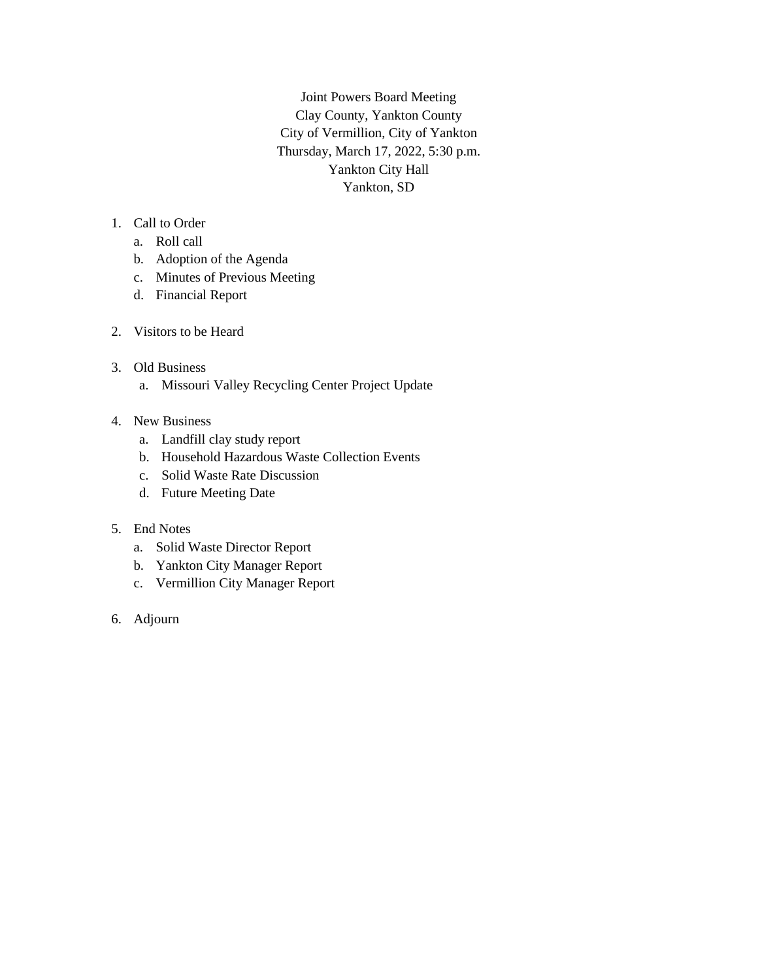Joint Powers Board Meeting Clay County, Yankton County City of Vermillion, City of Yankton Thursday, March 17, 2022, 5:30 p.m. Yankton City Hall Yankton, SD

# 1. Call to Order

- a. Roll call
- b. Adoption of the Agenda
- c. Minutes of Previous Meeting
- d. Financial Report
- 2. Visitors to be Heard
- 3. Old Business
	- a. Missouri Valley Recycling Center Project Update
- 4. New Business
	- a. Landfill clay study report
	- b. Household Hazardous Waste Collection Events
	- c. Solid Waste Rate Discussion
	- d. Future Meeting Date
- 5. End Notes
	- a. Solid Waste Director Report
	- b. Yankton City Manager Report
	- c. Vermillion City Manager Report
- 6. Adjourn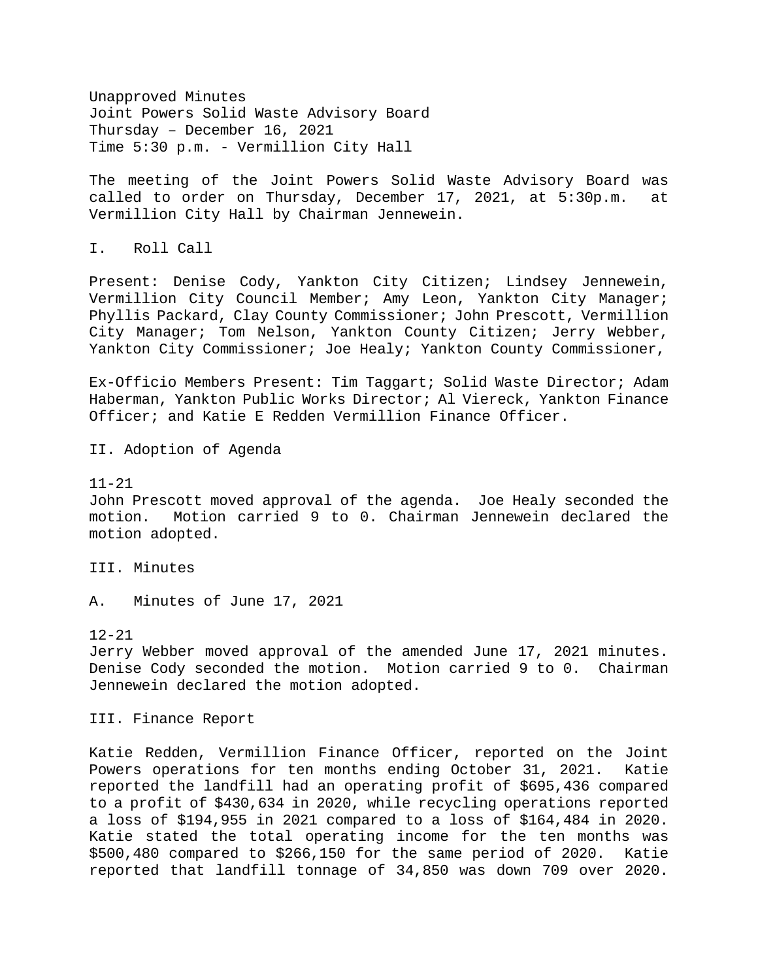Unapproved Minutes Joint Powers Solid Waste Advisory Board Thursday – December 16, 2021 Time 5:30 p.m. - Vermillion City Hall

The meeting of the Joint Powers Solid Waste Advisory Board was called to order on Thursday, December 17, 2021, at 5:30p.m. at Vermillion City Hall by Chairman Jennewein.

I. Roll Call

Present: Denise Cody, Yankton City Citizen; Lindsey Jennewein, Vermillion City Council Member; Amy Leon, Yankton City Manager; Phyllis Packard, Clay County Commissioner; John Prescott, Vermillion City Manager; Tom Nelson, Yankton County Citizen; Jerry Webber, Yankton City Commissioner; Joe Healy; Yankton County Commissioner,

Ex-Officio Members Present: Tim Taggart; Solid Waste Director; Adam Haberman, Yankton Public Works Director; Al Viereck, Yankton Finance Officer; and Katie E Redden Vermillion Finance Officer.

II. Adoption of Agenda

#### 11-21

John Prescott moved approval of the agenda. Joe Healy seconded the motion. Motion carried 9 to 0. Chairman Jennewein declared the motion adopted.

III. Minutes

A. Minutes of June 17, 2021

#### $12 - 21$

Jerry Webber moved approval of the amended June 17, 2021 minutes. Denise Cody seconded the motion. Motion carried 9 to 0. Chairman Jennewein declared the motion adopted.

III. Finance Report

Katie Redden, Vermillion Finance Officer, reported on the Joint Powers operations for ten months ending October 31, 2021. Katie reported the landfill had an operating profit of \$695,436 compared to a profit of \$430,634 in 2020, while recycling operations reported a loss of \$194,955 in 2021 compared to a loss of \$164,484 in 2020. Katie stated the total operating income for the ten months was \$500,480 compared to \$266,150 for the same period of 2020. Katie reported that landfill tonnage of 34,850 was down 709 over 2020.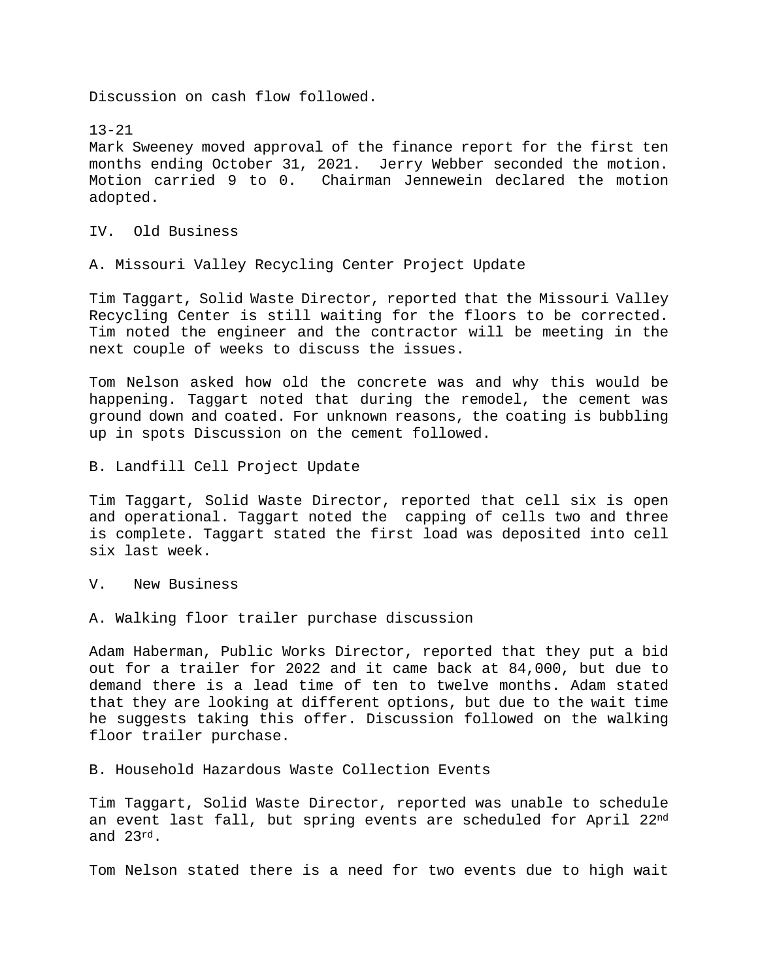Discussion on cash flow followed.

13-21 Mark Sweeney moved approval of the finance report for the first ten months ending October 31, 2021. Jerry Webber seconded the motion. Motion carried 9 to 0. Chairman Jennewein declared the motion adopted.

IV. Old Business

A. Missouri Valley Recycling Center Project Update

Tim Taggart, Solid Waste Director, reported that the Missouri Valley Recycling Center is still waiting for the floors to be corrected. Tim noted the engineer and the contractor will be meeting in the next couple of weeks to discuss the issues.

Tom Nelson asked how old the concrete was and why this would be happening. Taggart noted that during the remodel, the cement was ground down and coated. For unknown reasons, the coating is bubbling up in spots Discussion on the cement followed.

B. Landfill Cell Project Update

Tim Taggart, Solid Waste Director, reported that cell six is open and operational. Taggart noted the capping of cells two and three is complete. Taggart stated the first load was deposited into cell six last week.

V. New Business

A. Walking floor trailer purchase discussion

Adam Haberman, Public Works Director, reported that they put a bid out for a trailer for 2022 and it came back at 84,000, but due to demand there is a lead time of ten to twelve months. Adam stated that they are looking at different options, but due to the wait time he suggests taking this offer. Discussion followed on the walking floor trailer purchase.

B. Household Hazardous Waste Collection Events

Tim Taggart, Solid Waste Director, reported was unable to schedule an event last fall, but spring events are scheduled for April 22nd and 23rd.

Tom Nelson stated there is a need for two events due to high wait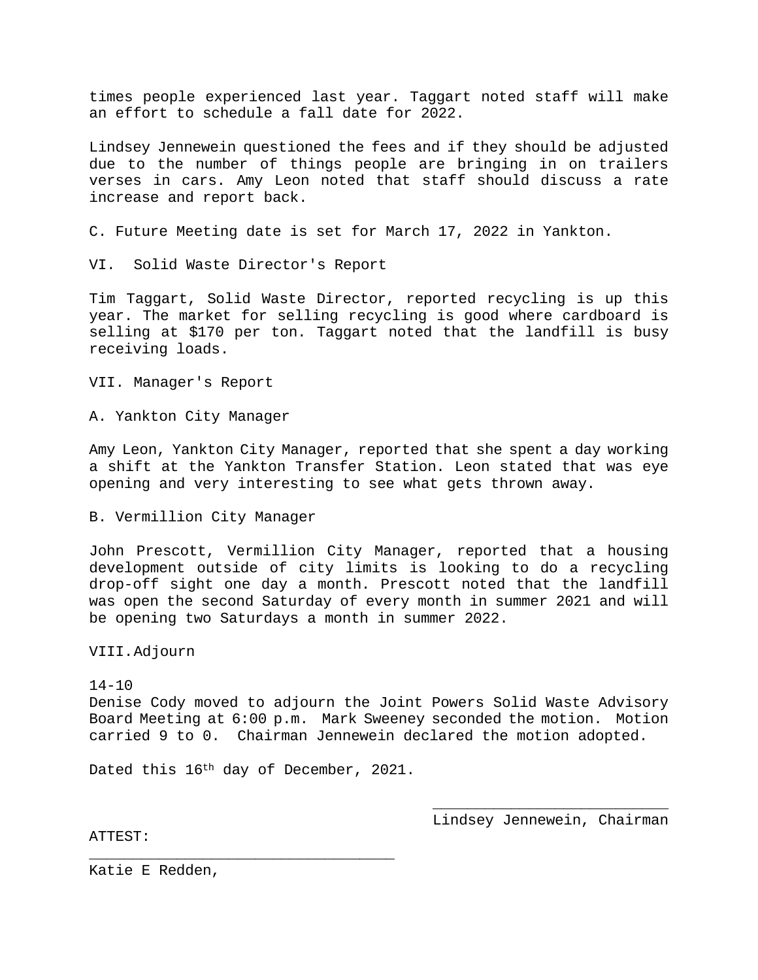times people experienced last year. Taggart noted staff will make an effort to schedule a fall date for 2022.

Lindsey Jennewein questioned the fees and if they should be adjusted due to the number of things people are bringing in on trailers verses in cars. Amy Leon noted that staff should discuss a rate increase and report back.

C. Future Meeting date is set for March 17, 2022 in Yankton.

VI. Solid Waste Director's Report

Tim Taggart, Solid Waste Director, reported recycling is up this year. The market for selling recycling is good where cardboard is selling at \$170 per ton. Taggart noted that the landfill is busy receiving loads.

VII. Manager's Report

A. Yankton City Manager

Amy Leon, Yankton City Manager, reported that she spent a day working a shift at the Yankton Transfer Station. Leon stated that was eye opening and very interesting to see what gets thrown away.

B. Vermillion City Manager

John Prescott, Vermillion City Manager, reported that a housing development outside of city limits is looking to do a recycling drop-off sight one day a month. Prescott noted that the landfill was open the second Saturday of every month in summer 2021 and will be opening two Saturdays a month in summer 2022.

VIII.Adjourn

#### $14 - 10$

Denise Cody moved to adjourn the Joint Powers Solid Waste Advisory Board Meeting at 6:00 p.m. Mark Sweeney seconded the motion. Motion carried 9 to 0. Chairman Jennewein declared the motion adopted.

Dated this 16th day of December, 2021.

 $\overline{\phantom{a}}$  , where  $\overline{\phantom{a}}$  , where  $\overline{\phantom{a}}$  ,  $\overline{\phantom{a}}$  ,  $\overline{\phantom{a}}$  ,  $\overline{\phantom{a}}$  ,  $\overline{\phantom{a}}$  ,  $\overline{\phantom{a}}$  ,  $\overline{\phantom{a}}$  ,  $\overline{\phantom{a}}$  ,  $\overline{\phantom{a}}$  ,  $\overline{\phantom{a}}$  ,  $\overline{\phantom{a}}$  ,  $\overline{\phantom{a}}$  ,  $\overline{\phantom{a}}$  , Lindsey Jennewein, Chairman

ATTEST:

 $\overline{\phantom{a}}$  , and the contract of the contract of  $\overline{\phantom{a}}$ Katie E Redden,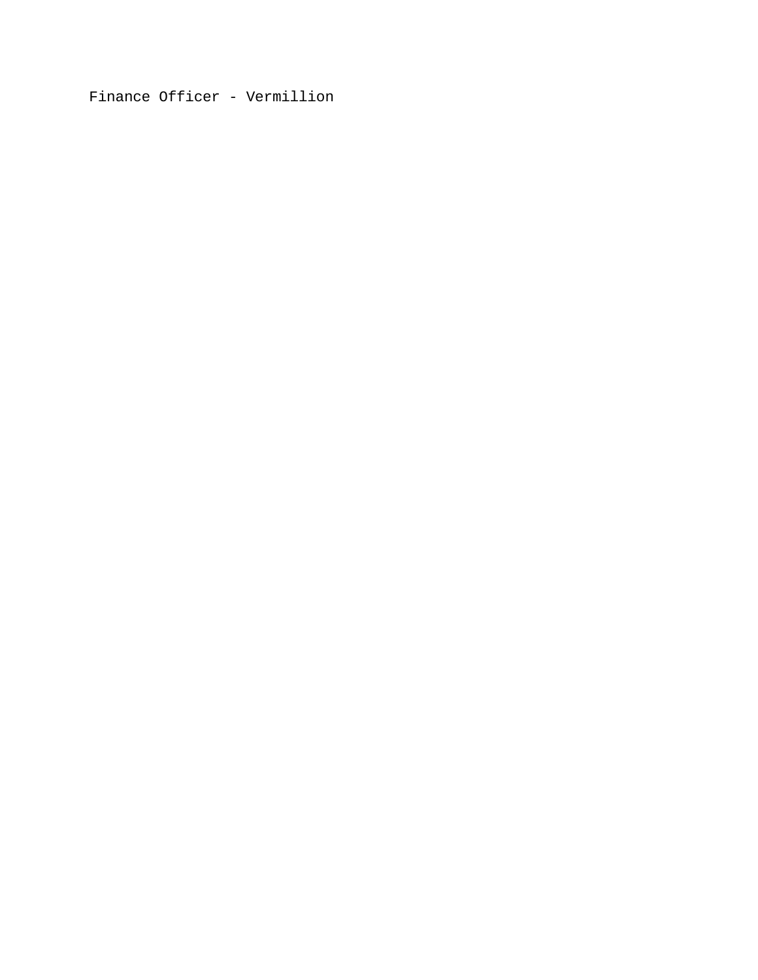Finance Officer - Vermillion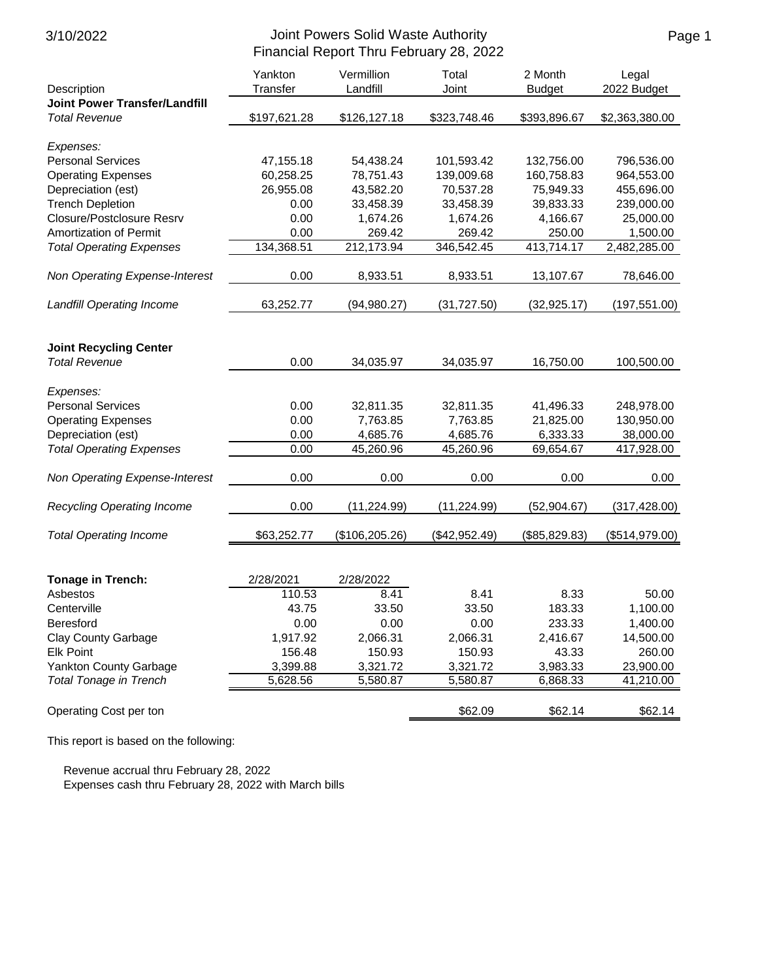| Description                          | Yankton<br>Transfer | Vermillion<br>Landfill | Total<br>Joint | 2 Month<br><b>Budget</b> | Legal<br>2022 Budget |
|--------------------------------------|---------------------|------------------------|----------------|--------------------------|----------------------|
| <b>Joint Power Transfer/Landfill</b> |                     |                        |                |                          |                      |
| <b>Total Revenue</b>                 | \$197,621.28        | \$126,127.18           | \$323,748.46   | \$393,896.67             | \$2,363,380.00       |
| Expenses:                            |                     |                        |                |                          |                      |
| <b>Personal Services</b>             | 47,155.18           | 54,438.24              | 101,593.42     | 132,756.00               | 796,536.00           |
| <b>Operating Expenses</b>            | 60,258.25           | 78,751.43              | 139,009.68     | 160,758.83               | 964,553.00           |
| Depreciation (est)                   | 26,955.08           | 43,582.20              | 70,537.28      | 75,949.33                | 455,696.00           |
| <b>Trench Depletion</b>              | 0.00                | 33,458.39              | 33,458.39      | 39,833.33                | 239,000.00           |
| Closure/Postclosure Resrv            | 0.00                | 1,674.26               | 1,674.26       | 4,166.67                 | 25,000.00            |
| <b>Amortization of Permit</b>        | 0.00                | 269.42                 | 269.42         | 250.00                   | 1,500.00             |
| <b>Total Operating Expenses</b>      | 134,368.51          | 212,173.94             | 346,542.45     | 413,714.17               | 2,482,285.00         |
| Non Operating Expense-Interest       | 0.00                | 8,933.51               | 8,933.51       | 13,107.67                | 78,646.00            |
| <b>Landfill Operating Income</b>     | 63,252.77           | (94, 980.27)           | (31, 727.50)   | (32, 925.17)             | (197, 551.00)        |
|                                      |                     |                        |                |                          |                      |
| <b>Joint Recycling Center</b>        |                     |                        |                |                          |                      |
| <b>Total Revenue</b>                 | 0.00                | 34,035.97              | 34,035.97      | 16,750.00                | 100,500.00           |
| Expenses:                            |                     |                        |                |                          |                      |
| <b>Personal Services</b>             | 0.00                | 32,811.35              | 32,811.35      | 41,496.33                | 248,978.00           |
| <b>Operating Expenses</b>            | 0.00                | 7,763.85               | 7,763.85       | 21,825.00                | 130,950.00           |
| Depreciation (est)                   | 0.00                | 4,685.76               | 4,685.76       | 6,333.33                 | 38,000.00            |
| <b>Total Operating Expenses</b>      | 0.00                | 45,260.96              | 45,260.96      | 69,654.67                | 417,928.00           |
| Non Operating Expense-Interest       | 0.00                | 0.00                   | 0.00           | 0.00                     | 0.00                 |
| Recycling Operating Income           | 0.00                | (11, 224.99)           | (11, 224.99)   | (52, 904.67)             | (317, 428.00)        |
| <b>Total Operating Income</b>        | \$63,252.77         | (\$106, 205.26)        | (\$42,952.49)  | (\$85,829.83)            | (\$514,979.00)       |
|                                      |                     |                        |                |                          |                      |
| <b>Tonage in Trench:</b>             | 2/28/2021           | 2/28/2022              |                |                          |                      |
| Asbestos                             | 110.53              | 8.41                   | 8.41           | 8.33                     | 50.00                |
| Centerville                          | 43.75               | 33.50                  | 33.50          | 183.33                   | 1,100.00             |
| <b>Beresford</b>                     | 0.00                | 0.00                   | 0.00           | 233.33                   | 1,400.00             |
| <b>Clay County Garbage</b>           | 1,917.92            | 2,066.31               | 2,066.31       | 2,416.67                 | 14,500.00            |
| <b>Elk Point</b>                     | 156.48              | 150.93                 | 150.93         | 43.33                    | 260.00               |
| Yankton County Garbage               | 3,399.88            | 3,321.72               | 3,321.72       | 3,983.33                 | 23,900.00            |
| <b>Total Tonage in Trench</b>        | 5,628.56            | 5,580.87               | 5,580.87       | 6,868.33                 | 41,210.00            |
| Operating Cost per ton               |                     |                        | \$62.09        | \$62.14                  | \$62.14              |

This report is based on the following:

 Revenue accrual thru February 28, 2022 Expenses cash thru February 28, 2022 with March bills Page 1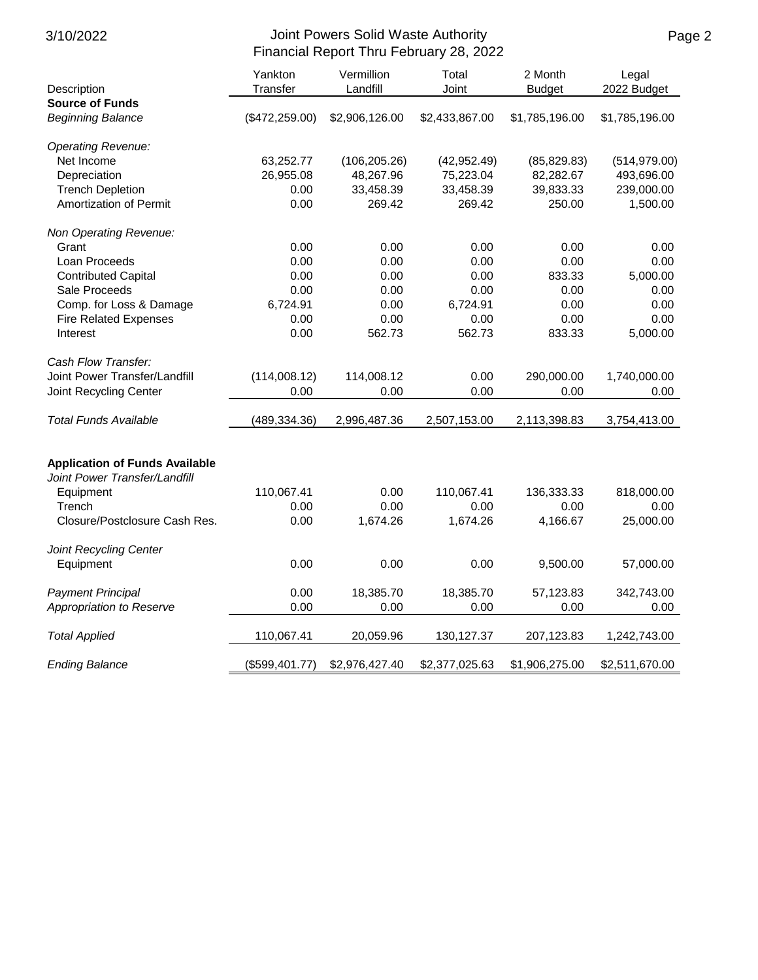| Description                           | Yankton<br>Transfer | Vermillion<br>Landfill | Total<br>Joint | 2 Month<br><b>Budget</b> | Legal<br>2022 Budget |
|---------------------------------------|---------------------|------------------------|----------------|--------------------------|----------------------|
| <b>Source of Funds</b>                |                     |                        |                |                          |                      |
| <b>Beginning Balance</b>              | (\$472,259.00)      | \$2,906,126.00         | \$2,433,867.00 | \$1,785,196.00           | \$1,785,196.00       |
| <b>Operating Revenue:</b>             |                     |                        |                |                          |                      |
| Net Income                            | 63,252.77           | (106, 205.26)          | (42, 952.49)   | (85, 829.83)             | (514, 979.00)        |
| Depreciation                          | 26,955.08           | 48,267.96              | 75,223.04      | 82,282.67                | 493,696.00           |
| <b>Trench Depletion</b>               | 0.00                | 33,458.39              | 33,458.39      | 39,833.33                | 239,000.00           |
| Amortization of Permit                | 0.00                | 269.42                 | 269.42         | 250.00                   | 1,500.00             |
| Non Operating Revenue:                |                     |                        |                |                          |                      |
| Grant                                 | 0.00                | 0.00                   | 0.00           | 0.00                     | 0.00                 |
| Loan Proceeds                         | 0.00                | 0.00                   | 0.00           | 0.00                     | 0.00                 |
| <b>Contributed Capital</b>            | 0.00                | 0.00                   | 0.00           | 833.33                   | 5,000.00             |
| Sale Proceeds                         | 0.00                | 0.00                   | 0.00           | 0.00                     | 0.00                 |
| Comp. for Loss & Damage               | 6,724.91            | 0.00                   | 6,724.91       | 0.00                     | 0.00                 |
| <b>Fire Related Expenses</b>          | 0.00                | 0.00                   | 0.00           | 0.00                     | 0.00                 |
| Interest                              | 0.00                | 562.73                 | 562.73         | 833.33                   | 5,000.00             |
| Cash Flow Transfer:                   |                     |                        |                |                          |                      |
| Joint Power Transfer/Landfill         | (114,008.12)        | 114,008.12             | 0.00           | 290,000.00               | 1,740,000.00         |
| Joint Recycling Center                | 0.00                | 0.00                   | 0.00           | 0.00                     | 0.00                 |
| <b>Total Funds Available</b>          | (489, 334.36)       | 2,996,487.36           | 2,507,153.00   | 2,113,398.83             | 3,754,413.00         |
| <b>Application of Funds Available</b> |                     |                        |                |                          |                      |
| Joint Power Transfer/Landfill         |                     |                        |                |                          |                      |
| Equipment                             | 110,067.41          | 0.00                   | 110,067.41     | 136,333.33               | 818,000.00           |
| Trench                                | 0.00                | 0.00                   | 0.00           | 0.00                     | 0.00                 |
| Closure/Postclosure Cash Res.         | 0.00                | 1,674.26               | 1,674.26       | 4,166.67                 | 25,000.00            |
| Joint Recycling Center                |                     |                        |                |                          |                      |
| Equipment                             | 0.00                | 0.00                   | 0.00           | 9,500.00                 | 57,000.00            |
| <b>Payment Principal</b>              | 0.00                | 18,385.70              | 18,385.70      | 57,123.83                | 342,743.00           |
| Appropriation to Reserve              | 0.00                | 0.00                   | 0.00           | 0.00                     | 0.00                 |
| <b>Total Applied</b>                  | 110,067.41          | 20,059.96              | 130,127.37     | 207,123.83               | 1,242,743.00         |
| <b>Ending Balance</b>                 | (\$599,401.77)      | \$2,976,427.40         | \$2,377,025.63 | \$1,906,275.00           | \$2,511,670.00       |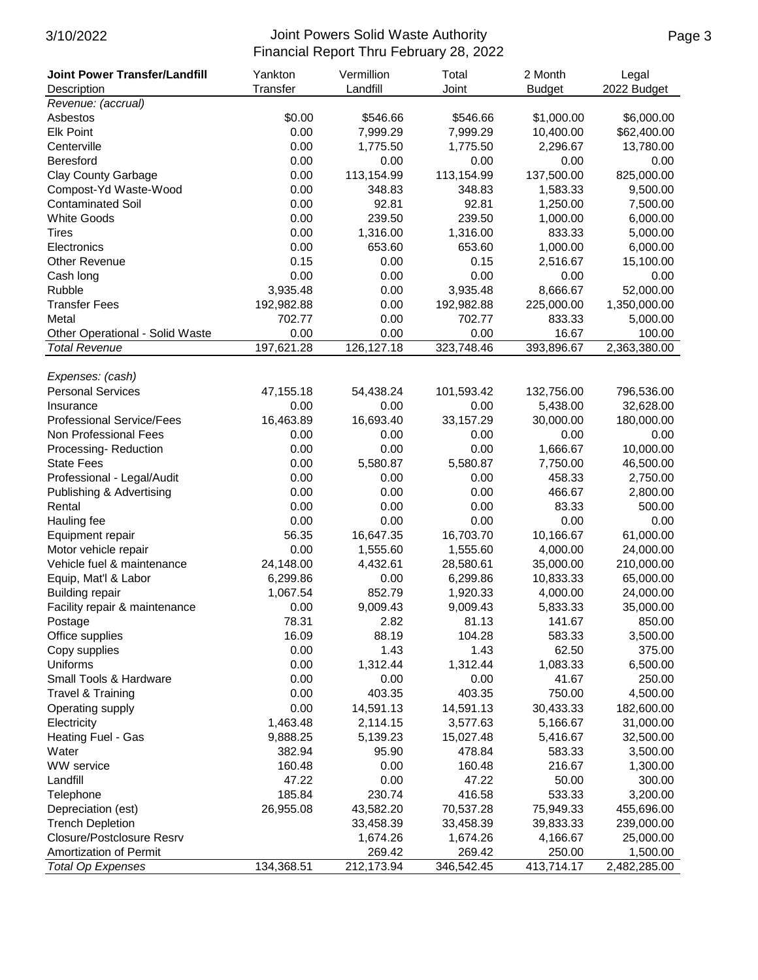| <b>Joint Power Transfer/Landfill</b> | Yankton    | Vermillion<br>Total |            | 2 Month    | Legal        |
|--------------------------------------|------------|---------------------|------------|------------|--------------|
| Description                          | Transfer   | Landfill            | Joint      |            | 2022 Budget  |
| Revenue: (accrual)                   |            |                     |            |            |              |
| Asbestos                             | \$0.00     | \$546.66            | \$546.66   | \$1,000.00 | \$6,000.00   |
| <b>Elk Point</b>                     | 0.00       | 7,999.29            | 7,999.29   | 10,400.00  | \$62,400.00  |
| Centerville                          | 0.00       | 1,775.50            | 1,775.50   | 2,296.67   | 13,780.00    |
| Beresford                            | 0.00       | 0.00                | 0.00       | 0.00       | 0.00         |
| <b>Clay County Garbage</b>           | 0.00       | 113,154.99          | 113,154.99 | 137,500.00 | 825,000.00   |
| Compost-Yd Waste-Wood                | 0.00       | 348.83              | 348.83     | 1,583.33   | 9,500.00     |
| <b>Contaminated Soil</b>             | 0.00       | 92.81               | 92.81      | 1,250.00   | 7,500.00     |
| <b>White Goods</b>                   | 0.00       | 239.50              | 239.50     | 1,000.00   | 6,000.00     |
| <b>Tires</b>                         | 0.00       | 1,316.00            | 1,316.00   | 833.33     | 5,000.00     |
| Electronics                          | 0.00       | 653.60              | 653.60     | 1,000.00   | 6,000.00     |
| <b>Other Revenue</b>                 | 0.15       | 0.00                | 0.15       | 2,516.67   | 15,100.00    |
| Cash long                            | 0.00       | 0.00                | 0.00       | 0.00       | 0.00         |
| Rubble                               | 3,935.48   | 0.00                | 3,935.48   | 8,666.67   | 52,000.00    |
| <b>Transfer Fees</b>                 | 192,982.88 | 0.00                | 192,982.88 | 225,000.00 | 1,350,000.00 |
| Metal                                | 702.77     | 0.00                | 702.77     | 833.33     | 5,000.00     |
| Other Operational - Solid Waste      | 0.00       | 0.00                | 0.00       | 16.67      | 100.00       |
| <b>Total Revenue</b>                 | 197,621.28 | 126,127.18          | 323,748.46 | 393,896.67 | 2,363,380.00 |
|                                      |            |                     |            |            |              |
| Expenses: (cash)                     |            |                     |            |            |              |
| <b>Personal Services</b>             | 47,155.18  | 54,438.24           | 101,593.42 | 132,756.00 | 796,536.00   |
| Insurance                            | 0.00       | 0.00                | 0.00       | 5,438.00   | 32,628.00    |
| <b>Professional Service/Fees</b>     | 16,463.89  | 16,693.40           | 33,157.29  | 30,000.00  | 180,000.00   |
| Non Professional Fees                | 0.00       | 0.00                | 0.00       | 0.00       | 0.00         |
| Processing-Reduction                 | 0.00       | 0.00                | 0.00       | 1,666.67   | 10,000.00    |
| <b>State Fees</b>                    | 0.00       | 5,580.87            | 5,580.87   | 7,750.00   | 46,500.00    |
| Professional - Legal/Audit           | 0.00       | 0.00                | 0.00       | 458.33     | 2,750.00     |
| Publishing & Advertising             | 0.00       | 0.00                | 0.00       | 466.67     | 2,800.00     |
| Rental                               | 0.00       | 0.00                | 0.00       | 83.33      | 500.00       |
| Hauling fee                          | 0.00       | 0.00                | 0.00       | 0.00       | 0.00         |
| Equipment repair                     | 56.35      | 16,647.35           | 16,703.70  | 10,166.67  | 61,000.00    |
| Motor vehicle repair                 | 0.00       | 1,555.60            | 1,555.60   | 4,000.00   | 24,000.00    |
| Vehicle fuel & maintenance           | 24,148.00  | 4,432.61            | 28,580.61  | 35,000.00  | 210,000.00   |
| Equip, Mat'l & Labor                 | 6,299.86   | 0.00                | 6,299.86   | 10,833.33  | 65,000.00    |
| <b>Building repair</b>               | 1,067.54   | 852.79              | 1,920.33   | 4,000.00   | 24,000.00    |
| Facility repair & maintenance        | 0.00       | 9,009.43            | 9,009.43   | 5,833.33   | 35,000.00    |
| Postage                              | 78.31      | 2.82                | 81.13      | 141.67     | 850.00       |
| Office supplies                      | 16.09      | 88.19               | 104.28     | 583.33     | 3,500.00     |
| Copy supplies                        | 0.00       | 1.43                | 1.43       | 62.50      | 375.00       |
| Uniforms                             | 0.00       | 1,312.44            | 1,312.44   | 1,083.33   | 6,500.00     |
| Small Tools & Hardware               | 0.00       | 0.00                | 0.00       | 41.67      | 250.00       |
| <b>Travel &amp; Training</b>         | 0.00       | 403.35              | 403.35     | 750.00     | 4,500.00     |
| Operating supply                     | 0.00       | 14,591.13           | 14,591.13  | 30,433.33  | 182,600.00   |
| Electricity                          | 1,463.48   | 2,114.15            | 3,577.63   | 5,166.67   | 31,000.00    |
| Heating Fuel - Gas                   | 9,888.25   | 5,139.23            | 15,027.48  | 5,416.67   | 32,500.00    |
| Water                                | 382.94     | 95.90               | 478.84     | 583.33     | 3,500.00     |
| WW service                           | 160.48     | 0.00                | 160.48     | 216.67     | 1,300.00     |
| Landfill                             | 47.22      | 0.00                | 47.22      | 50.00      | 300.00       |
| Telephone                            | 185.84     | 230.74              | 416.58     | 533.33     | 3,200.00     |
| Depreciation (est)                   | 26,955.08  | 43,582.20           | 70,537.28  | 75,949.33  | 455,696.00   |
| <b>Trench Depletion</b>              |            | 33,458.39           | 33,458.39  | 39,833.33  | 239,000.00   |
| Closure/Postclosure Resrv            |            | 1,674.26            | 1,674.26   | 4,166.67   | 25,000.00    |
| Amortization of Permit               |            | 269.42              | 269.42     | 250.00     | 1,500.00     |
| <b>Total Op Expenses</b>             | 134,368.51 | 212,173.94          | 346,542.45 | 413,714.17 | 2,482,285.00 |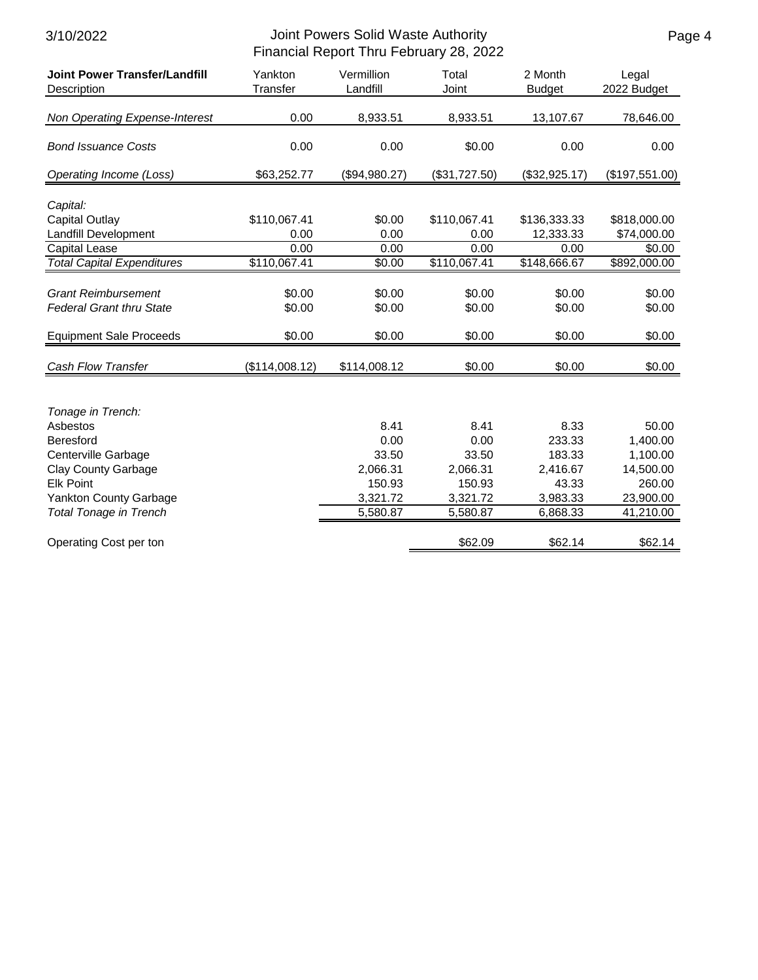| <b>Joint Power Transfer/Landfill</b> | Yankton        | Vermillion    | Total         | 2 Month       | Legal          |
|--------------------------------------|----------------|---------------|---------------|---------------|----------------|
| Description                          | Transfer       | Landfill      | Joint         | <b>Budget</b> | 2022 Budget    |
| Non Operating Expense-Interest       | 0.00           | 8,933.51      | 8,933.51      | 13,107.67     | 78,646.00      |
| <b>Bond Issuance Costs</b>           | 0.00           | 0.00          | \$0.00        | 0.00          | 0.00           |
| Operating Income (Loss)              | \$63,252.77    | (\$94,980.27) | (\$31,727.50) | (\$32,925.17) | (\$197,551.00) |
| Capital:                             |                |               |               |               |                |
| <b>Capital Outlay</b>                | \$110,067.41   | \$0.00        | \$110,067.41  | \$136,333.33  | \$818,000.00   |
| Landfill Development                 | 0.00           | 0.00          | 0.00          | 12,333.33     | \$74,000.00    |
| <b>Capital Lease</b>                 | 0.00           | 0.00          | 0.00          | 0.00          | \$0.00         |
| <b>Total Capital Expenditures</b>    | \$110,067.41   | \$0.00        | \$110,067.41  | \$148,666.67  | \$892,000.00   |
|                                      |                |               |               |               |                |
| <b>Grant Reimbursement</b>           | \$0.00         | \$0.00        | \$0.00        | \$0.00        | \$0.00         |
| <b>Federal Grant thru State</b>      | \$0.00         | \$0.00        | \$0.00        | \$0.00        | \$0.00         |
| <b>Equipment Sale Proceeds</b>       | \$0.00         | \$0.00        | \$0.00        | \$0.00        | \$0.00         |
| <b>Cash Flow Transfer</b>            | (\$114,008.12) | \$114,008.12  | \$0.00        | \$0.00        | \$0.00         |
|                                      |                |               |               |               |                |
| Tonage in Trench:                    |                |               |               |               |                |
| Asbestos                             |                | 8.41          | 8.41          | 8.33          | 50.00          |
| <b>Beresford</b>                     |                | 0.00          | 0.00          | 233.33        | 1,400.00       |
| Centerville Garbage                  |                | 33.50         | 33.50         | 183.33        | 1,100.00       |
| <b>Clay County Garbage</b>           |                | 2,066.31      | 2,066.31      | 2,416.67      | 14,500.00      |
| <b>Elk Point</b>                     |                | 150.93        | 150.93        | 43.33         | 260.00         |
| <b>Yankton County Garbage</b>        |                | 3,321.72      | 3,321.72      | 3,983.33      | 23,900.00      |
| <b>Total Tonage in Trench</b>        |                | 5,580.87      | 5,580.87      | 6,868.33      | 41,210.00      |
| Operating Cost per ton               |                |               | \$62.09       | \$62.14       | \$62.14        |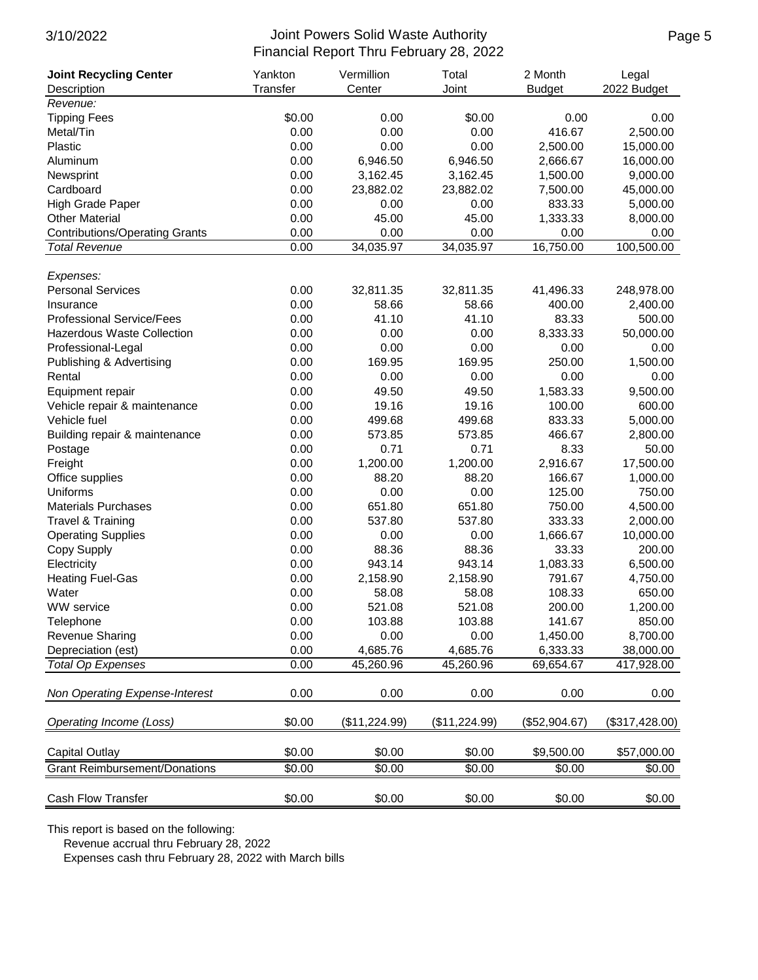| <b>Joint Recycling Center</b>         | Yankton  | Vermillion    | Total         | 2 Month       | Legal          |
|---------------------------------------|----------|---------------|---------------|---------------|----------------|
| Description                           | Transfer | Center        | Joint         | <b>Budget</b> | 2022 Budget    |
| Revenue:                              |          |               |               |               |                |
| <b>Tipping Fees</b>                   | \$0.00   | 0.00          | \$0.00        | 0.00          | 0.00           |
| Metal/Tin                             | 0.00     | 0.00          | 0.00          | 416.67        | 2,500.00       |
| Plastic                               | 0.00     | 0.00          | 0.00          | 2,500.00      | 15,000.00      |
| Aluminum                              | 0.00     | 6,946.50      | 6,946.50      | 2,666.67      | 16,000.00      |
| Newsprint                             | 0.00     | 3,162.45      | 3,162.45      | 1,500.00      | 9,000.00       |
| Cardboard                             | 0.00     | 23,882.02     | 23,882.02     | 7,500.00      | 45,000.00      |
| <b>High Grade Paper</b>               | 0.00     | 0.00          | 0.00          | 833.33        | 5,000.00       |
| <b>Other Material</b>                 | 0.00     | 45.00         | 45.00         | 1,333.33      | 8,000.00       |
| <b>Contributions/Operating Grants</b> | 0.00     | 0.00          | 0.00          | 0.00          | 0.00           |
| <b>Total Revenue</b>                  | 0.00     | 34,035.97     | 34,035.97     | 16,750.00     | 100,500.00     |
|                                       |          |               |               |               |                |
| Expenses:                             |          |               |               |               |                |
| <b>Personal Services</b>              | 0.00     | 32,811.35     | 32,811.35     | 41,496.33     | 248,978.00     |
| Insurance                             | 0.00     | 58.66         | 58.66         | 400.00        | 2,400.00       |
| <b>Professional Service/Fees</b>      | 0.00     | 41.10         | 41.10         | 83.33         | 500.00         |
| <b>Hazerdous Waste Collection</b>     | 0.00     | 0.00          | 0.00          | 8,333.33      | 50,000.00      |
| Professional-Legal                    | 0.00     | 0.00          | 0.00          | 0.00          | 0.00           |
| Publishing & Advertising              | 0.00     | 169.95        | 169.95        | 250.00        | 1,500.00       |
| Rental                                | 0.00     | 0.00          | 0.00          | 0.00          | 0.00           |
| Equipment repair                      | 0.00     | 49.50         | 49.50         | 1,583.33      | 9,500.00       |
| Vehicle repair & maintenance          | 0.00     | 19.16         | 19.16         | 100.00        | 600.00         |
| Vehicle fuel                          | 0.00     | 499.68        | 499.68        | 833.33        | 5,000.00       |
| Building repair & maintenance         | 0.00     | 573.85        | 573.85        | 466.67        | 2,800.00       |
| Postage                               | 0.00     | 0.71          | 0.71          | 8.33          | 50.00          |
| Freight                               | 0.00     | 1,200.00      | 1,200.00      | 2,916.67      | 17,500.00      |
| Office supplies                       | 0.00     | 88.20         | 88.20         | 166.67        | 1,000.00       |
| Uniforms                              | 0.00     | 0.00          | 0.00          | 125.00        | 750.00         |
| <b>Materials Purchases</b>            | 0.00     | 651.80        | 651.80        | 750.00        | 4,500.00       |
| <b>Travel &amp; Training</b>          | 0.00     | 537.80        | 537.80        | 333.33        | 2,000.00       |
| <b>Operating Supplies</b>             | 0.00     | 0.00          | 0.00          | 1,666.67      | 10,000.00      |
| Copy Supply                           | 0.00     | 88.36         | 88.36         | 33.33         | 200.00         |
| Electricity                           | 0.00     | 943.14        | 943.14        | 1,083.33      | 6,500.00       |
| <b>Heating Fuel-Gas</b>               | 0.00     | 2,158.90      | 2,158.90      | 791.67        | 4,750.00       |
| Water                                 | 0.00     | 58.08         | 58.08         | 108.33        | 650.00         |
| WW service                            | 0.00     | 521.08        | 521.08        | 200.00        | 1,200.00       |
| Telephone                             | 0.00     | 103.88        | 103.88        | 141.67        | 850.00         |
| <b>Revenue Sharing</b>                | 0.00     | 0.00          | 0.00          | 1,450.00      | 8,700.00       |
| Depreciation (est)                    | 0.00     | 4,685.76      | 4,685.76      | 6,333.33      | 38,000.00      |
| <b>Total Op Expenses</b>              | 0.00     | 45,260.96     | 45,260.96     | 69,654.67     | 417,928.00     |
|                                       |          |               |               |               |                |
| Non Operating Expense-Interest        | 0.00     | 0.00          | 0.00          | 0.00          | 0.00           |
| Operating Income (Loss)               | \$0.00   | (\$11,224.99) | (\$11,224.99) | (\$52,904.67) | (\$317,428.00) |
| <b>Capital Outlay</b>                 | \$0.00   | \$0.00        | \$0.00        | \$9,500.00    | \$57,000.00    |
| <b>Grant Reimbursement/Donations</b>  | \$0.00   | \$0.00        | \$0.00        | \$0.00        | \$0.00         |
|                                       |          |               |               |               |                |
| Cash Flow Transfer                    | \$0.00   | \$0.00        | \$0.00        | \$0.00        | \$0.00         |

This report is based on the following:

Revenue accrual thru February 28, 2022

Expenses cash thru February 28, 2022 with March bills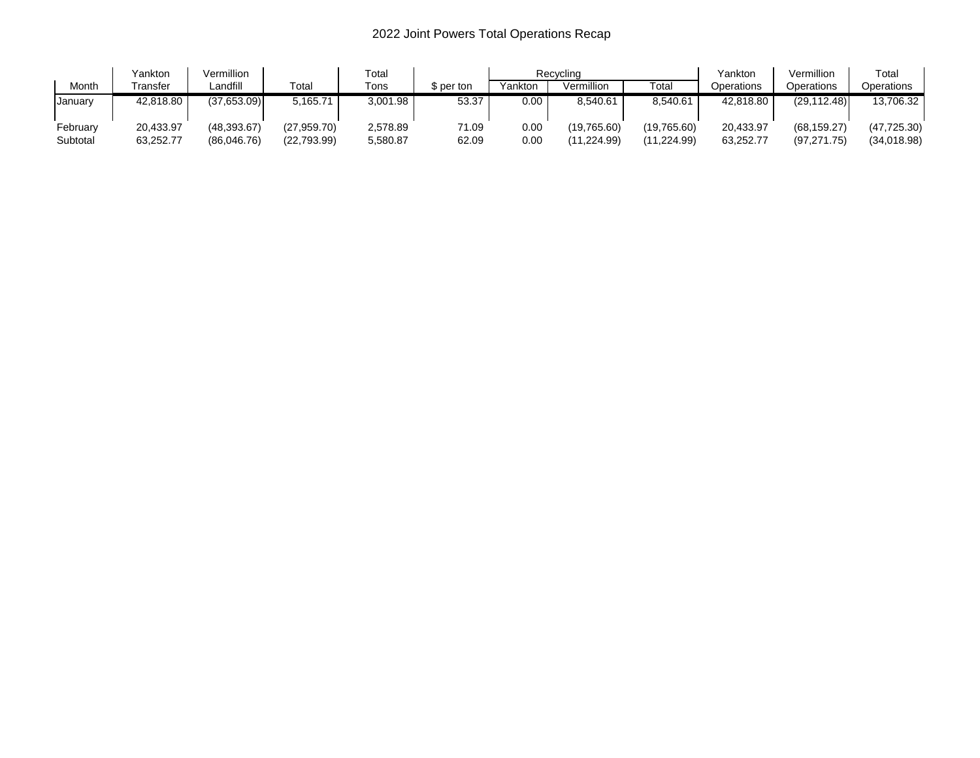# 2022 Joint Powers Total Operations Recap

|          | Yankton   | Vermillion  |             | Total    |            |         | Recvclina   |              | Yankton    | Vermillion   | Total        |
|----------|-----------|-------------|-------------|----------|------------|---------|-------------|--------------|------------|--------------|--------------|
| Month    | Fransfer  | Landfill    | $\tau$ otal | Tons     | \$ per ton | Yankton | Vermillion  | ™otai        | Operations | Operations   | Operations   |
| January  | 42,818.80 | (37,653.09) | 5,165.71    | 3,001.98 | 53.37      | 0.00    | 8.540.61    | 8,540.61     | 42,818.80  | (29, 112.48) | 13,706.32    |
| Februarv | 20.433.97 | (48.393.67) | (27.959.70) | 2,578.89 | 71.09      | 0.00    | (19.765.60) | (19,765.60)  | 20,433.97  | (68, 159.27) | (47, 725.30) |
| Subtotal | 63,252.77 | (86.046.76) | (22,793.99) | 5,580.87 | 62.09      | 0.00    | (224.99. ا  | (11, 224.99) | 63,252.77  | (97, 271.75) | (34,018.98)  |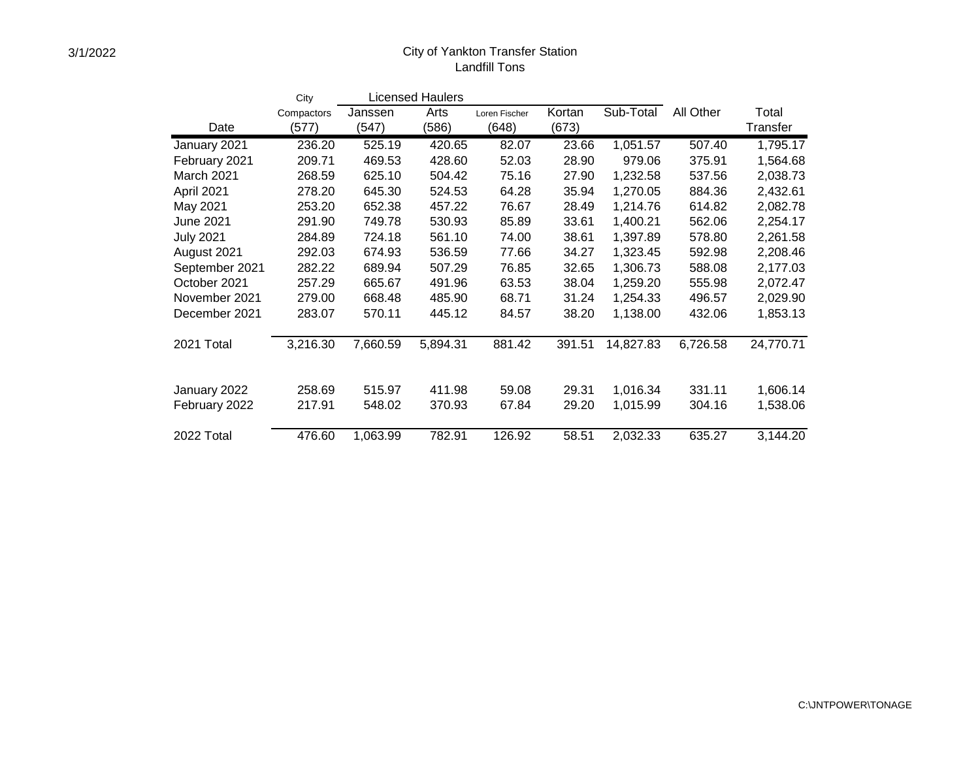## City of Yankton Transfer Station Landfill Tons

|                  | City       |          | <b>Licensed Haulers</b> |               |        |           |           |           |
|------------------|------------|----------|-------------------------|---------------|--------|-----------|-----------|-----------|
|                  | Compactors | Janssen  | Arts                    | Loren Fischer | Kortan | Sub-Total | All Other | Total     |
| Date             | (577)      | (547)    | (586)                   | (648)         | (673)  |           |           | Transfer  |
| January 2021     | 236.20     | 525.19   | 420.65                  | 82.07         | 23.66  | 1,051.57  | 507.40    | 1,795.17  |
| February 2021    | 209.71     | 469.53   | 428.60                  | 52.03         | 28.90  | 979.06    | 375.91    | 1,564.68  |
| March 2021       | 268.59     | 625.10   | 504.42                  | 75.16         | 27.90  | 1,232.58  | 537.56    | 2,038.73  |
| April 2021       | 278.20     | 645.30   | 524.53                  | 64.28         | 35.94  | 1,270.05  | 884.36    | 2,432.61  |
| May 2021         | 253.20     | 652.38   | 457.22                  | 76.67         | 28.49  | 1,214.76  | 614.82    | 2,082.78  |
| <b>June 2021</b> | 291.90     | 749.78   | 530.93                  | 85.89         | 33.61  | 1,400.21  | 562.06    | 2,254.17  |
| <b>July 2021</b> | 284.89     | 724.18   | 561.10                  | 74.00         | 38.61  | 1,397.89  | 578.80    | 2,261.58  |
| August 2021      | 292.03     | 674.93   | 536.59                  | 77.66         | 34.27  | 1,323.45  | 592.98    | 2,208.46  |
| September 2021   | 282.22     | 689.94   | 507.29                  | 76.85         | 32.65  | 1,306.73  | 588.08    | 2,177.03  |
| October 2021     | 257.29     | 665.67   | 491.96                  | 63.53         | 38.04  | 1,259.20  | 555.98    | 2,072.47  |
| November 2021    | 279.00     | 668.48   | 485.90                  | 68.71         | 31.24  | 1,254.33  | 496.57    | 2,029.90  |
| December 2021    | 283.07     | 570.11   | 445.12                  | 84.57         | 38.20  | 1,138.00  | 432.06    | 1,853.13  |
| 2021 Total       | 3,216.30   | 7,660.59 | 5,894.31                | 881.42        | 391.51 | 14,827.83 | 6,726.58  | 24,770.71 |
|                  |            |          |                         |               |        |           |           |           |
| January 2022     | 258.69     | 515.97   | 411.98                  | 59.08         | 29.31  | 1,016.34  | 331.11    | 1,606.14  |
| February 2022    | 217.91     | 548.02   | 370.93                  | 67.84         | 29.20  | 1,015.99  | 304.16    | 1,538.06  |
| 2022 Total       | 476.60     | 1,063.99 | 782.91                  | 126.92        | 58.51  | 2,032.33  | 635.27    | 3,144.20  |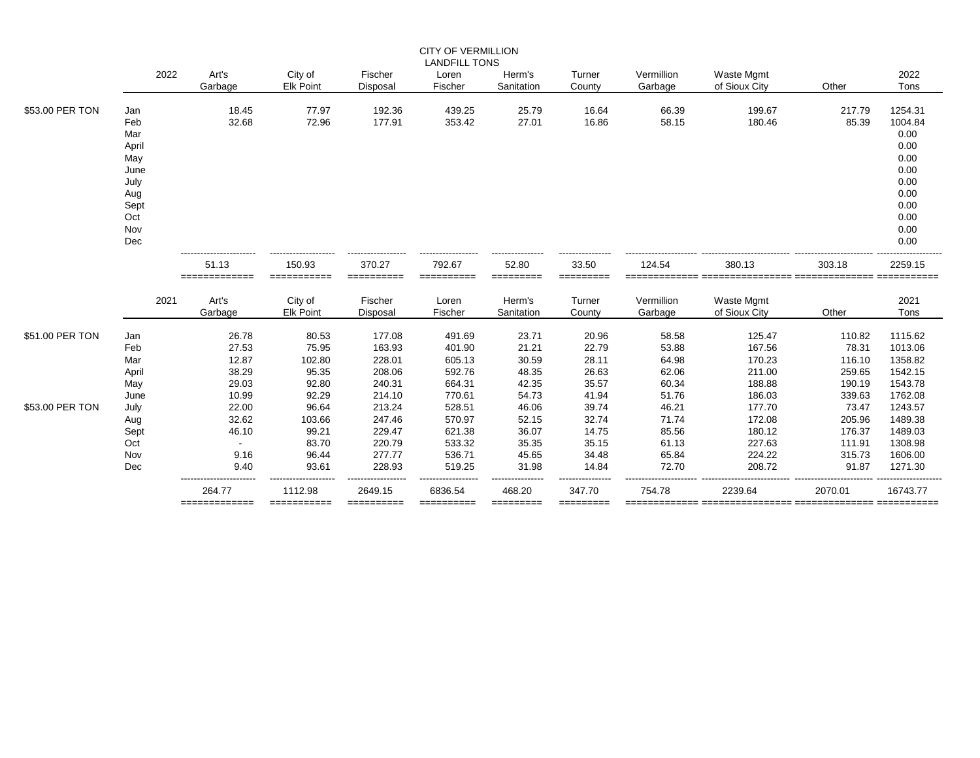|                                    |                                                                                       |                                                             |                                                              |                                                                    | <b>CITY OF VERMILLION</b>                                          |                                                             |                                                             |                                                             |                                                                    |                                                                  |                                                                                                    |
|------------------------------------|---------------------------------------------------------------------------------------|-------------------------------------------------------------|--------------------------------------------------------------|--------------------------------------------------------------------|--------------------------------------------------------------------|-------------------------------------------------------------|-------------------------------------------------------------|-------------------------------------------------------------|--------------------------------------------------------------------|------------------------------------------------------------------|----------------------------------------------------------------------------------------------------|
|                                    | 2022                                                                                  | Art's<br>Garbage                                            | City of<br><b>Elk Point</b>                                  | Fischer<br>Disposal                                                | <b>LANDFILL TONS</b><br>Loren<br>Fischer                           | Herm's<br>Sanitation                                        | Turner<br>County                                            | Vermillion<br>Garbage                                       | Waste Mgmt<br>of Sioux City                                        | Other                                                            | 2022<br>Tons                                                                                       |
| \$53.00 PER TON                    | Jan<br>Feb<br>Mar<br>April<br>May<br>June<br>July<br>Aug<br>Sept<br>Oct<br>Nov<br>Dec | 18.45<br>32.68                                              | 77.97<br>72.96                                               | 192.36<br>177.91                                                   | 439.25<br>353.42                                                   | 25.79<br>27.01                                              | 16.64<br>16.86                                              | 66.39<br>58.15                                              | 199.67<br>180.46                                                   | 217.79<br>85.39                                                  | 1254.31<br>1004.84<br>0.00<br>0.00<br>0.00<br>0.00<br>0.00<br>0.00<br>0.00<br>0.00<br>0.00<br>0.00 |
|                                    |                                                                                       | 51.13<br>=============                                      | 150.93<br>===========                                        | 370.27<br>==========                                               | 792.67<br>==========                                               | 52.80<br>=========                                          | 33.50                                                       | 124.54                                                      | 380.13                                                             | 303.18                                                           | 2259.15<br>:========                                                                               |
|                                    | 2021                                                                                  | Art's<br>Garbage                                            | City of<br><b>Elk Point</b>                                  | Fischer<br>Disposal                                                | Loren<br>Fischer                                                   | Herm's<br>Sanitation                                        | =========<br>Turner<br>County                               | Vermillion<br>Garbage                                       | Waste Mgmt<br>of Sioux City                                        | Other                                                            | 2021<br>Tons                                                                                       |
| \$51.00 PER TON<br>\$53.00 PER TON | Jan<br>Feb<br>Mar<br>April<br>May<br>June<br>July                                     | 26.78<br>27.53<br>12.87<br>38.29<br>29.03<br>10.99<br>22.00 | 80.53<br>75.95<br>102.80<br>95.35<br>92.80<br>92.29<br>96.64 | 177.08<br>163.93<br>228.01<br>208.06<br>240.31<br>214.10<br>213.24 | 491.69<br>401.90<br>605.13<br>592.76<br>664.31<br>770.61<br>528.51 | 23.71<br>21.21<br>30.59<br>48.35<br>42.35<br>54.73<br>46.06 | 20.96<br>22.79<br>28.11<br>26.63<br>35.57<br>41.94<br>39.74 | 58.58<br>53.88<br>64.98<br>62.06<br>60.34<br>51.76<br>46.21 | 125.47<br>167.56<br>170.23<br>211.00<br>188.88<br>186.03<br>177.70 | 110.82<br>78.31<br>116.10<br>259.65<br>190.19<br>339.63<br>73.47 | 1115.62<br>1013.06<br>1358.82<br>1542.15<br>1543.78<br>1762.08<br>1243.57                          |
|                                    | Aug<br>Sept<br>Oct<br>Nov<br>Dec                                                      | 32.62<br>46.10<br>$\sim$<br>9.16<br>9.40                    | 103.66<br>99.21<br>83.70<br>96.44<br>93.61                   | 247.46<br>229.47<br>220.79<br>277.77<br>228.93                     | 570.97<br>621.38<br>533.32<br>536.71<br>519.25                     | 52.15<br>36.07<br>35.35<br>45.65<br>31.98                   | 32.74<br>14.75<br>35.15<br>34.48<br>14.84                   | 71.74<br>85.56<br>61.13<br>65.84<br>72.70                   | 172.08<br>180.12<br>227.63<br>224.22<br>208.72                     | 205.96<br>176.37<br>111.91<br>315.73<br>91.87                    | 1489.38<br>1489.03<br>1308.98<br>1606.00<br>1271.30                                                |
|                                    |                                                                                       | 264.77<br>=============                                     | 1112.98<br>===========                                       | 2649.15<br>==========                                              | 6836.54<br>-----------                                             | 468.20<br>=========                                         | 347.70<br>=========                                         | 754.78                                                      | 2239.64                                                            | 2070.01                                                          | 16743.77                                                                                           |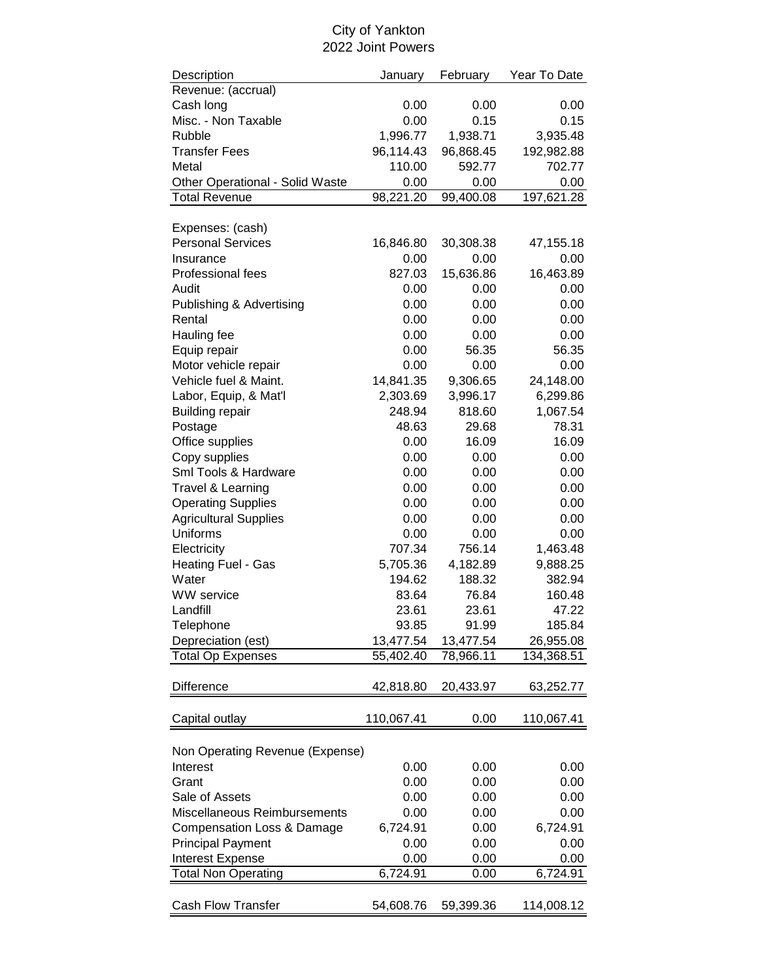## City of Yankton 2022 Joint Powers

| Description                           | January    | February  | Year To Date |
|---------------------------------------|------------|-----------|--------------|
| Revenue: (accrual)                    |            |           |              |
| Cash long                             | 0.00       | 0.00      | 0.00         |
| Misc. - Non Taxable                   | 0.00       | 0.15      | 0.15         |
| Rubble                                | 1,996.77   | 1,938.71  | 3,935.48     |
| <b>Transfer Fees</b>                  | 96,114.43  | 96,868.45 | 192,982.88   |
| Metal                                 | 110.00     | 592.77    | 702.77       |
| Other Operational - Solid Waste       | 0.00       | 0.00      | 0.00         |
| <b>Total Revenue</b>                  | 98,221.20  | 99,400.08 | 197,621.28   |
|                                       |            |           |              |
| Expenses: (cash)                      |            |           |              |
| <b>Personal Services</b>              | 16,846.80  | 30,308.38 | 47,155.18    |
| Insurance                             | 0.00       | 0.00      | 0.00         |
| Professional fees                     | 827.03     | 15,636.86 | 16,463.89    |
| Audit                                 | 0.00       | 0.00      | 0.00         |
|                                       |            |           |              |
| <b>Publishing &amp; Advertising</b>   | 0.00       | 0.00      | 0.00         |
| Rental                                | 0.00       | 0.00      | 0.00         |
| Hauling fee                           | 0.00       | 0.00      | 0.00         |
| Equip repair                          | 0.00       | 56.35     | 56.35        |
| Motor vehicle repair                  | 0.00       | 0.00      | 0.00         |
| Vehicle fuel & Maint.                 | 14,841.35  | 9,306.65  | 24,148.00    |
| Labor, Equip, & Mat'l                 | 2,303.69   | 3,996.17  | 6,299.86     |
| <b>Building repair</b>                | 248.94     | 818.60    | 1,067.54     |
| Postage                               | 48.63      | 29.68     | 78.31        |
| Office supplies                       | 0.00       | 16.09     | 16.09        |
| Copy supplies                         | 0.00       | 0.00      | 0.00         |
| Sml Tools & Hardware                  | 0.00       | 0.00      | 0.00         |
| Travel & Learning                     | 0.00       | 0.00      | 0.00         |
| <b>Operating Supplies</b>             | 0.00       | 0.00      | 0.00         |
| <b>Agricultural Supplies</b>          | 0.00       | 0.00      | 0.00         |
| Uniforms                              | 0.00       | 0.00      | 0.00         |
| Electricity                           | 707.34     | 756.14    | 1,463.48     |
|                                       |            |           |              |
| Heating Fuel - Gas                    | 5,705.36   | 4,182.89  | 9,888.25     |
| Water                                 | 194.62     | 188.32    | 382.94       |
| <b>WW</b> service                     | 83.64      | 76.84     | 160.48       |
| Landfill                              | 23.61      | 23.61     | 47.22        |
| Telephone                             | 93.85      | 91.99     | 185.84       |
| Depreciation (est)                    | 13,477.54  | 13,477.54 | 26,955.08    |
| <b>Total Op Expenses</b>              | 55,402.40  | 78,966.11 | 134,368.51   |
|                                       |            |           |              |
| <b>Difference</b>                     | 42,818.80  | 20,433.97 | 63,252.77    |
|                                       |            |           |              |
| Capital outlay                        | 110,067.41 | 0.00      | 110,067.41   |
|                                       |            |           |              |
| Non Operating Revenue (Expense)       |            |           |              |
| Interest                              | 0.00       | 0.00      | 0.00         |
| Grant                                 | 0.00       | 0.00      | 0.00         |
|                                       |            |           |              |
| Sale of Assets                        | 0.00       | 0.00      | 0.00         |
| Miscellaneous Reimbursements          | 0.00       | 0.00      | 0.00         |
| <b>Compensation Loss &amp; Damage</b> | 6,724.91   | 0.00      | 6,724.91     |
| <b>Principal Payment</b>              | 0.00       | 0.00      | 0.00         |
| <b>Interest Expense</b>               | 0.00       | 0.00      | 0.00         |
| <b>Total Non Operating</b>            | 6,724.91   | 0.00      | 6,724.91     |
|                                       |            |           |              |
| <b>Cash Flow Transfer</b>             | 54,608.76  | 59,399.36 | 114,008.12   |
|                                       |            |           |              |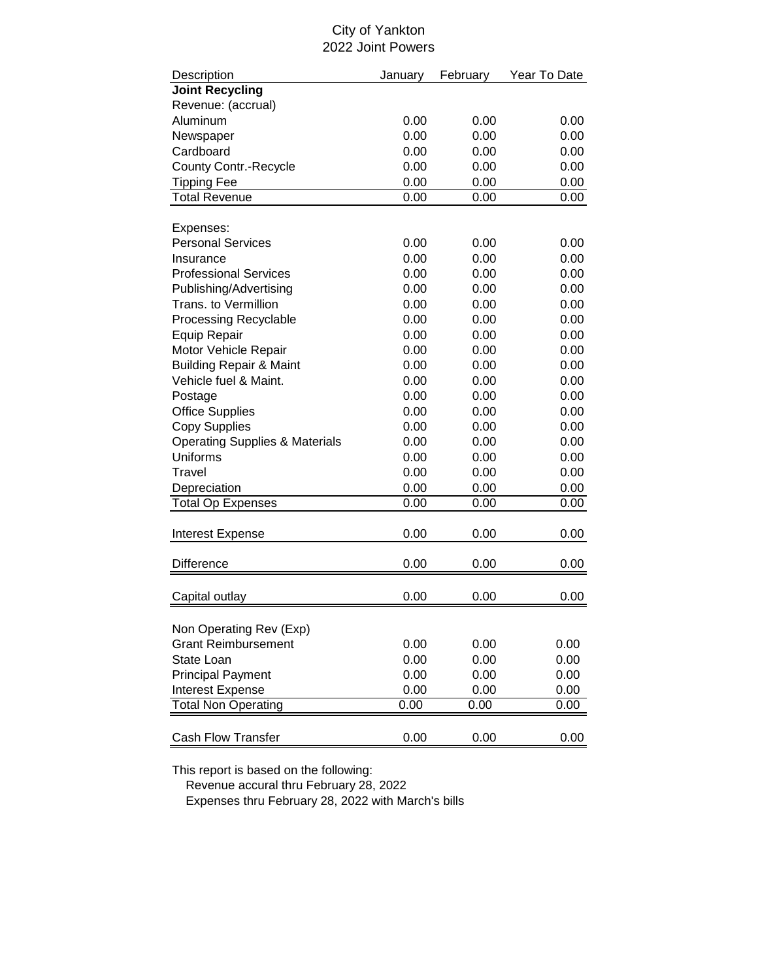### City of Yankton 2022 Joint Powers

| Description                               | January | February | Year To Date |
|-------------------------------------------|---------|----------|--------------|
| <b>Joint Recycling</b>                    |         |          |              |
| Revenue: (accrual)                        |         |          |              |
| Aluminum                                  | 0.00    | 0.00     | 0.00         |
| Newspaper                                 | 0.00    | 0.00     | 0.00         |
| Cardboard                                 | 0.00    | 0.00     | 0.00         |
| <b>County Contr.-Recycle</b>              | 0.00    | 0.00     | 0.00         |
| <b>Tipping Fee</b>                        | 0.00    | 0.00     | 0.00         |
| <b>Total Revenue</b>                      | 0.00    | 0.00     | 0.00         |
|                                           |         |          |              |
| Expenses:                                 |         |          |              |
| <b>Personal Services</b>                  | 0.00    | 0.00     | 0.00         |
| Insurance                                 | 0.00    | 0.00     | 0.00         |
| <b>Professional Services</b>              | 0.00    | 0.00     | 0.00         |
| Publishing/Advertising                    | 0.00    | 0.00     | 0.00         |
| Trans. to Vermillion                      | 0.00    | 0.00     | 0.00         |
| <b>Processing Recyclable</b>              | 0.00    | 0.00     | 0.00         |
| Equip Repair                              | 0.00    | 0.00     | 0.00         |
| Motor Vehicle Repair                      | 0.00    | 0.00     | 0.00         |
| <b>Building Repair &amp; Maint</b>        | 0.00    | 0.00     | 0.00         |
| Vehicle fuel & Maint.                     | 0.00    | 0.00     | 0.00         |
| Postage                                   | 0.00    | 0.00     | 0.00         |
| <b>Office Supplies</b>                    | 0.00    | 0.00     | 0.00         |
| <b>Copy Supplies</b>                      | 0.00    | 0.00     | 0.00         |
| <b>Operating Supplies &amp; Materials</b> | 0.00    | 0.00     | 0.00         |
| Uniforms                                  | 0.00    | 0.00     | 0.00         |
| Travel                                    | 0.00    | 0.00     | 0.00         |
| Depreciation                              | 0.00    | 0.00     | 0.00         |
| <b>Total Op Expenses</b>                  | 0.00    | 0.00     | 0.00         |
|                                           |         |          |              |
| <b>Interest Expense</b>                   | 0.00    | 0.00     | 0.00         |
|                                           |         |          |              |
| <b>Difference</b>                         | 0.00    | 0.00     | 0.00         |
| Capital outlay                            | 0.00    | 0.00     | 0.00         |
|                                           |         |          |              |
| Non Operating Rev (Exp)                   |         |          |              |
| <b>Grant Reimbursement</b>                | 0.00    | 0.00     | 0.00         |
| State Loan                                | 0.00    | 0.00     | 0.00         |
| <b>Principal Payment</b>                  | 0.00    | 0.00     | 0.00         |
|                                           |         |          |              |
| Interest Expense                          | 0.00    | 0.00     | 0.00         |
| <b>Total Non Operating</b>                | 0.00    | 0.00     | 0.00         |
|                                           |         |          |              |
| <b>Cash Flow Transfer</b>                 | 0.00    | 0.00     | 0.00         |

This report is based on the following:

Revenue accural thru February 28, 2022

Expenses thru February 28, 2022 with March's bills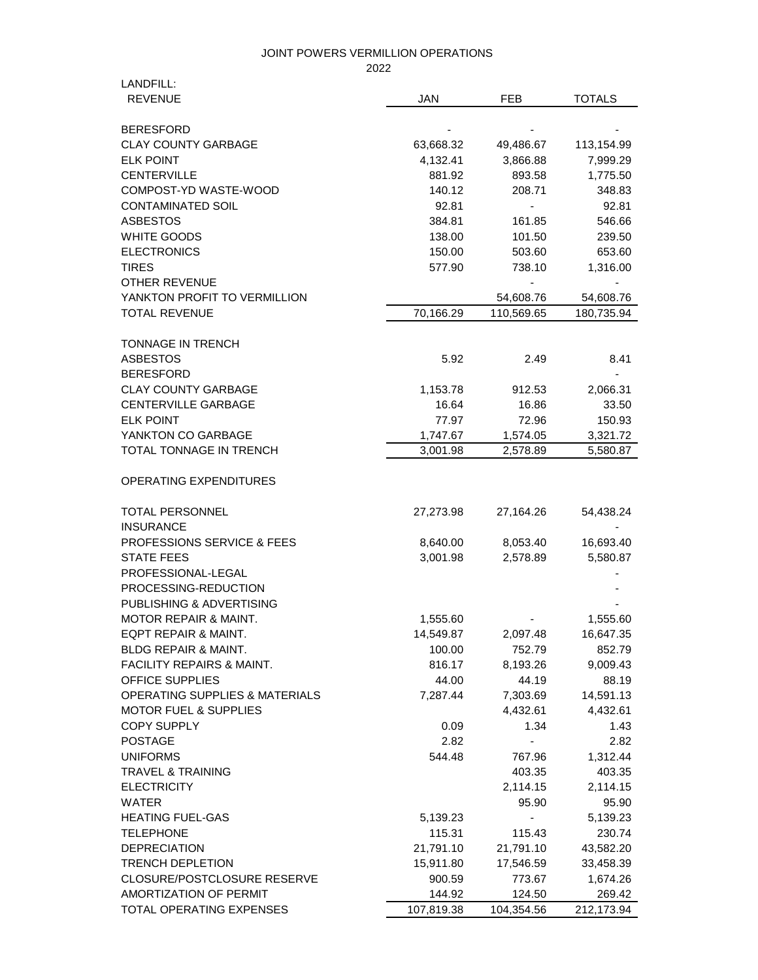2022

| LANDFILL:                                 |            |            |               |
|-------------------------------------------|------------|------------|---------------|
| <b>REVENUE</b>                            | <b>JAN</b> | <b>FEB</b> | <b>TOTALS</b> |
|                                           |            |            |               |
| <b>BERESFORD</b>                          |            |            |               |
| <b>CLAY COUNTY GARBAGE</b>                | 63,668.32  | 49,486.67  | 113,154.99    |
| <b>ELK POINT</b>                          | 4,132.41   | 3,866.88   | 7,999.29      |
| <b>CENTERVILLE</b>                        | 881.92     | 893.58     | 1,775.50      |
| COMPOST-YD WASTE-WOOD                     | 140.12     | 208.71     | 348.83        |
| <b>CONTAMINATED SOIL</b>                  | 92.81      |            | 92.81         |
| <b>ASBESTOS</b>                           | 384.81     | 161.85     | 546.66        |
| WHITE GOODS                               | 138.00     | 101.50     | 239.50        |
| <b>ELECTRONICS</b>                        | 150.00     | 503.60     | 653.60        |
| <b>TIRES</b>                              | 577.90     | 738.10     | 1,316.00      |
| OTHER REVENUE                             |            |            |               |
| YANKTON PROFIT TO VERMILLION              |            | 54,608.76  | 54,608.76     |
| <b>TOTAL REVENUE</b>                      | 70,166.29  | 110,569.65 | 180,735.94    |
|                                           |            |            |               |
| <b>TONNAGE IN TRENCH</b>                  |            |            |               |
| <b>ASBESTOS</b>                           | 5.92       | 2.49       | 8.41          |
| <b>BERESFORD</b>                          |            |            |               |
| <b>CLAY COUNTY GARBAGE</b>                | 1,153.78   | 912.53     | 2,066.31      |
| <b>CENTERVILLE GARBAGE</b>                | 16.64      | 16.86      | 33.50         |
| <b>ELK POINT</b>                          | 77.97      | 72.96      | 150.93        |
| YANKTON CO GARBAGE                        | 1,747.67   | 1,574.05   | 3,321.72      |
| <b>TOTAL TONNAGE IN TRENCH</b>            | 3,001.98   | 2,578.89   | 5,580.87      |
|                                           |            |            |               |
| <b>OPERATING EXPENDITURES</b>             |            |            |               |
| <b>TOTAL PERSONNEL</b>                    | 27,273.98  | 27,164.26  | 54,438.24     |
| <b>INSURANCE</b>                          |            |            |               |
| PROFESSIONS SERVICE & FEES                | 8,640.00   | 8,053.40   | 16,693.40     |
| <b>STATE FEES</b>                         | 3,001.98   | 2,578.89   | 5,580.87      |
| PROFESSIONAL-LEGAL                        |            |            |               |
| PROCESSING-REDUCTION                      |            |            |               |
| PUBLISHING & ADVERTISING                  |            |            |               |
| <b>MOTOR REPAIR &amp; MAINT.</b>          | 1,555.60   |            | 1,555.60      |
| EQPT REPAIR & MAINT.                      | 14,549.87  | 2,097.48   | 16,647.35     |
| <b>BLDG REPAIR &amp; MAINT.</b>           | 100.00     | 752.79     | 852.79        |
| <b>FACILITY REPAIRS &amp; MAINT.</b>      | 816.17     | 8,193.26   | 9,009.43      |
| OFFICE SUPPLIES                           |            | 44.19      | 88.19         |
|                                           | 44.00      |            |               |
| <b>OPERATING SUPPLIES &amp; MATERIALS</b> | 7,287.44   | 7,303.69   | 14,591.13     |
| <b>MOTOR FUEL &amp; SUPPLIES</b>          |            | 4,432.61   | 4,432.61      |
| <b>COPY SUPPLY</b>                        | 0.09       | 1.34       | 1.43          |
| <b>POSTAGE</b>                            | 2.82       | -          | 2.82          |
| <b>UNIFORMS</b>                           | 544.48     | 767.96     | 1,312.44      |
| <b>TRAVEL &amp; TRAINING</b>              |            | 403.35     | 403.35        |
| <b>ELECTRICITY</b>                        |            | 2,114.15   | 2,114.15      |
| <b>WATER</b>                              |            | 95.90      | 95.90         |
| <b>HEATING FUEL-GAS</b>                   | 5,139.23   |            | 5,139.23      |
| <b>TELEPHONE</b>                          | 115.31     | 115.43     | 230.74        |
| <b>DEPRECIATION</b>                       | 21,791.10  | 21,791.10  | 43,582.20     |
| <b>TRENCH DEPLETION</b>                   | 15,911.80  | 17,546.59  | 33,458.39     |
| CLOSURE/POSTCLOSURE RESERVE               | 900.59     | 773.67     | 1,674.26      |
| AMORTIZATION OF PERMIT                    | 144.92     | 124.50     | 269.42        |
| TOTAL OPERATING EXPENSES                  | 107,819.38 | 104,354.56 | 212,173.94    |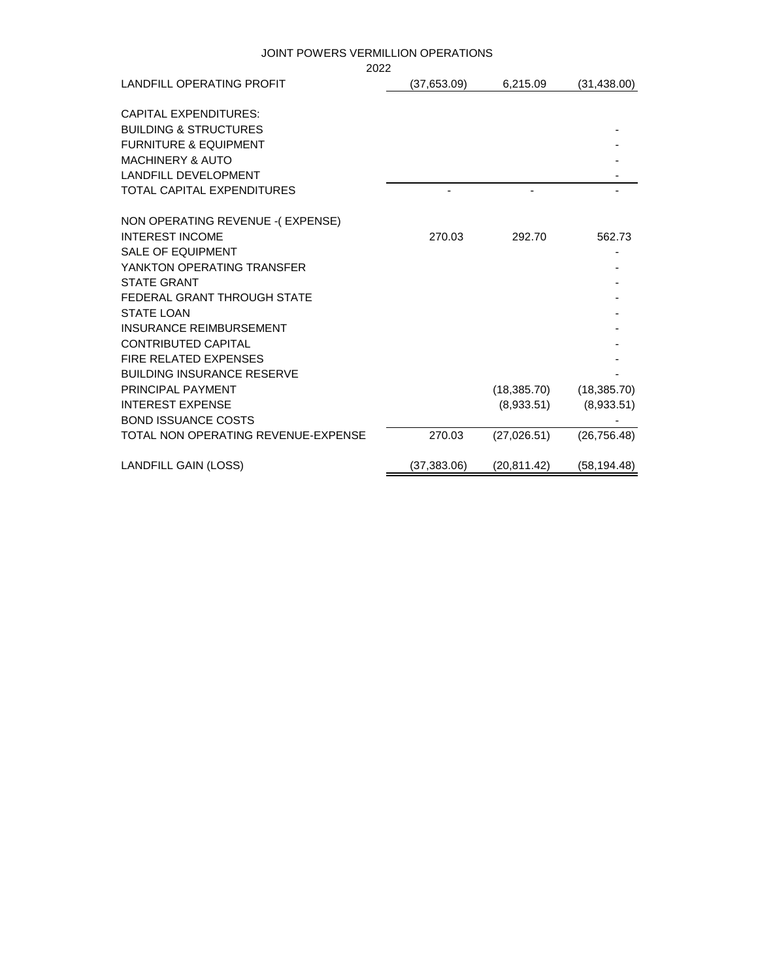|                                                            | 2022 |              |              |              |
|------------------------------------------------------------|------|--------------|--------------|--------------|
| LANDFILL OPERATING PROFIT                                  |      | (37,653.09)  | 6,215.09     | (31, 438.00) |
| <b>CAPITAL EXPENDITURES:</b>                               |      |              |              |              |
| <b>BUILDING &amp; STRUCTURES</b>                           |      |              |              |              |
| <b>FURNITURE &amp; EQUIPMENT</b>                           |      |              |              |              |
| <b>MACHINERY &amp; AUTO</b>                                |      |              |              |              |
| <b>LANDFILL DEVELOPMENT</b>                                |      |              |              |              |
| <b>TOTAL CAPITAL EXPENDITURES</b>                          |      |              |              |              |
| NON OPERATING REVENUE - (EXPENSE)                          |      |              |              |              |
| <b>INTEREST INCOME</b>                                     |      | 270.03       | 292.70       | 562.73       |
| <b>SALE OF EQUIPMENT</b>                                   |      |              |              |              |
| YANKTON OPERATING TRANSFER                                 |      |              |              |              |
| <b>STATE GRANT</b>                                         |      |              |              |              |
| FEDERAL GRANT THROUGH STATE                                |      |              |              |              |
| <b>STATE LOAN</b>                                          |      |              |              |              |
| <b>INSURANCE REIMBURSEMENT</b>                             |      |              |              |              |
| <b>CONTRIBUTED CAPITAL</b><br><b>FIRE RELATED EXPENSES</b> |      |              |              |              |
| <b>BUILDING INSURANCE RESERVE</b>                          |      |              |              |              |
| PRINCIPAL PAYMENT                                          |      |              | (18, 385.70) | (18, 385.70) |
| <b>INTEREST EXPENSE</b>                                    |      |              | (8,933.51)   | (8,933.51)   |
| <b>BOND ISSUANCE COSTS</b>                                 |      |              |              |              |
| TOTAL NON OPERATING REVENUE-EXPENSE                        |      | 270.03       | (27,026.51)  | (26, 756.48) |
| <b>LANDFILL GAIN (LOSS)</b>                                |      | (37, 383.06) | (20, 811.42) | (58, 194.48) |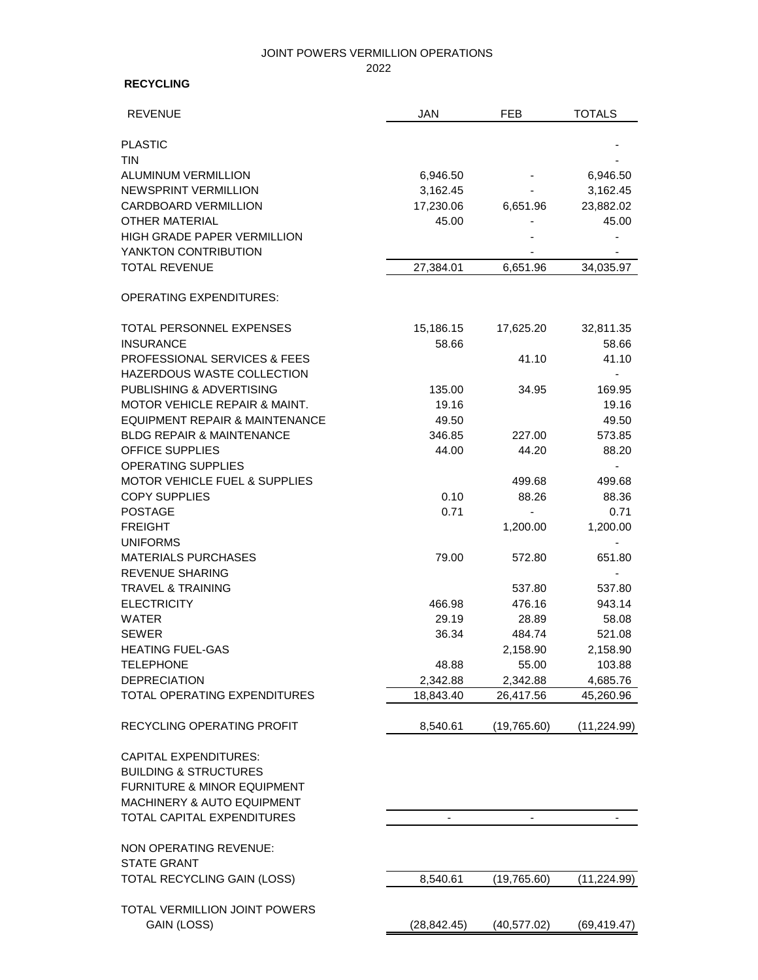#### 2022

### **RECYCLING**

| <b>REVENUE</b>                               | <b>JAN</b>         | <b>FEB</b>   | <b>TOTALS</b>  |
|----------------------------------------------|--------------------|--------------|----------------|
| <b>PLASTIC</b>                               |                    |              |                |
| <b>TIN</b>                                   |                    |              |                |
| <b>ALUMINUM VERMILLION</b>                   | 6,946.50           |              | 6,946.50       |
| NEWSPRINT VERMILLION                         | 3,162.45           |              | 3,162.45       |
| <b>CARDBOARD VERMILLION</b>                  | 17,230.06          | 6,651.96     | 23,882.02      |
| <b>OTHER MATERIAL</b>                        | 45.00              |              | 45.00          |
| HIGH GRADE PAPER VERMILLION                  |                    |              |                |
| YANKTON CONTRIBUTION                         |                    |              |                |
| <b>TOTAL REVENUE</b>                         | 27,384.01          | 6,651.96     | 34,035.97      |
| <b>OPERATING EXPENDITURES:</b>               |                    |              |                |
|                                              |                    |              |                |
| TOTAL PERSONNEL EXPENSES<br><b>INSURANCE</b> | 15,186.15<br>58.66 | 17,625.20    | 32,811.35      |
| <b>PROFESSIONAL SERVICES &amp; FEES</b>      |                    | 41.10        | 58.66<br>41.10 |
| HAZERDOUS WASTE COLLECTION                   |                    |              |                |
| PUBLISHING & ADVERTISING                     | 135.00             | 34.95        | 169.95         |
| MOTOR VEHICLE REPAIR & MAINT.                | 19.16              |              | 19.16          |
| EQUIPMENT REPAIR & MAINTENANCE               | 49.50              |              | 49.50          |
| <b>BLDG REPAIR &amp; MAINTENANCE</b>         | 346.85             | 227.00       | 573.85         |
| <b>OFFICE SUPPLIES</b>                       | 44.00              | 44.20        | 88.20          |
| <b>OPERATING SUPPLIES</b>                    |                    |              |                |
| <b>MOTOR VEHICLE FUEL &amp; SUPPLIES</b>     |                    | 499.68       | 499.68         |
| <b>COPY SUPPLIES</b>                         | 0.10               | 88.26        | 88.36          |
| <b>POSTAGE</b>                               | 0.71               |              | 0.71           |
| <b>FREIGHT</b>                               |                    | 1,200.00     | 1,200.00       |
| <b>UNIFORMS</b>                              |                    |              |                |
| <b>MATERIALS PURCHASES</b>                   | 79.00              | 572.80       | 651.80         |
| <b>REVENUE SHARING</b>                       |                    |              |                |
| <b>TRAVEL &amp; TRAINING</b>                 |                    | 537.80       | 537.80         |
| <b>ELECTRICITY</b>                           | 466.98             | 476.16       | 943.14         |
| <b>WATER</b>                                 | 29.19              | 28.89        | 58.08          |
| <b>SEWER</b>                                 | 36.34              | 484.74       | 521.08         |
| <b>HEATING FUEL-GAS</b>                      |                    | 2,158.90     | 2,158.90       |
| TELEPHONE                                    | 48.88              | 55.00        | 103.88         |
| <b>DEPRECIATION</b>                          | 2,342.88           | 2,342.88     | 4,685.76       |
| TOTAL OPERATING EXPENDITURES                 | 18,843.40          | 26,417.56    | 45,260.96      |
| <b>RECYCLING OPERATING PROFIT</b>            | 8,540.61           | (19,765.60)  | (11, 224.99)   |
| <b>CAPITAL EXPENDITURES:</b>                 |                    |              |                |
| <b>BUILDING &amp; STRUCTURES</b>             |                    |              |                |
| FURNITURE & MINOR EQUIPMENT                  |                    |              |                |
| MACHINERY & AUTO EQUIPMENT                   |                    |              |                |
| TOTAL CAPITAL EXPENDITURES                   |                    |              |                |
| NON OPERATING REVENUE:                       |                    |              |                |
| <b>STATE GRANT</b>                           |                    |              |                |
| TOTAL RECYCLING GAIN (LOSS)                  | 8,540.61           | (19,765.60)  | (11,224.99)    |
|                                              |                    |              |                |
| TOTAL VERMILLION JOINT POWERS<br>GAIN (LOSS) |                    |              |                |
|                                              | (28,842.45)        | (40, 577.02) | (69, 419.47)   |